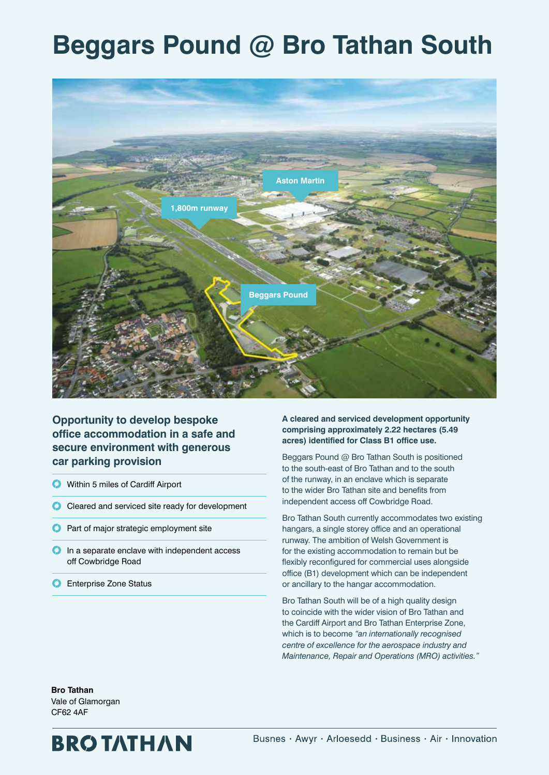# **Beggars Pound @ Bro Tathan South**



**Opportunity to develop bespoke office accommodation in a safe and secure environment with generous car parking provision**

- Within 5 miles of Cardiff Airport
- Cleared and serviced site ready for development
- **Part of major strategic employment site**
- $\bigcirc$  In a separate enclave with independent access off Cowbridge Road
- **C** Enterprise Zone Status

**A cleared and serviced development opportunity comprising approximately 2.22 hectares (5.49 acres) identified for Class B1 office use.** 

Beggars Pound @ Bro Tathan South is positioned to the south-east of Bro Tathan and to the south of the runway, in an enclave which is separate to the wider Bro Tathan site and benefits from independent access off Cowbridge Road.

Bro Tathan South currently accommodates two existing hangars, a single storey office and an operational runway. The ambition of Welsh Government is for the existing accommodation to remain but be flexibly reconfigured for commercial uses alongside office (B1) development which can be independent or ancillary to the hangar accommodation.

Bro Tathan South will be of a high quality design to coincide with the wider vision of Bro Tathan and the Cardiff Airport and Bro Tathan Enterprise Zone, which is to become *"an internationally recognised centre of excellence for the aerospace industry and Maintenance, Repair and Operations (MRO) activities."*

**Bro Tathan**  Vale of Glamorgan CF62 4AF

## **BROTATHAN**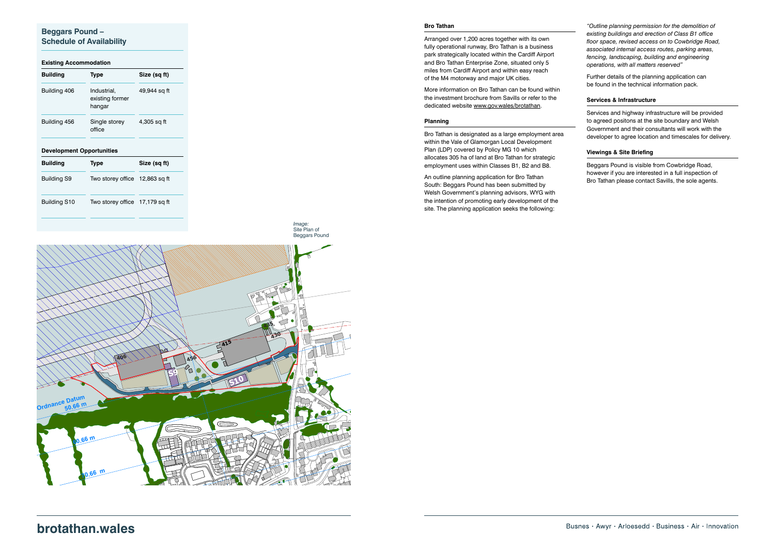#### **Beggars Pound – Schedule of Availability**

#### **Existing Accommodation**

### **brotathan.wales 85.66<sup>m</sup>**

| <b>Building</b>                  | <b>Type</b>                              | Size (sq ft) |
|----------------------------------|------------------------------------------|--------------|
| Building 406                     | Industrial,<br>existing former<br>hangar | 49,944 sq ft |
| Building 456                     | Single storey<br>office                  | 4,305 sq ft  |
|                                  |                                          |              |
| <b>Development Opportunities</b> |                                          |              |
| <b>Building</b>                  | <b>Type</b>                              | Size (sq ft) |
| <b>Building S9</b>               | Two storey office 12,863 sq ft           |              |
| Building S10                     | Two storey office 17,179 sq ft           |              |

Email: info@wyg.com www.**wyg**.com

#### **Bro Tathan**



Arranged over 1,200 acres together with its own fully operational runway, Bro Tathan is a business park strategically located within the Cardiff Airport and Bro Tathan Enterprise Zone, situated only 5 miles from Cardiff Airport and within easy reach of the M4 motorway and major UK cities.

More information on Bro Tathan can be found within the investment brochure from Savills or refer to the dedicated website www.gov.wales/brotathan.

#### **Planning**

Bro Tathan is designated as a large employment area within the Vale of Glamorgan Local Development Plan (LDP) covered by Policy MG 10 which allocates 305 ha of land at Bro Tathan for strategic employment uses within Classes B1, B2 and B8.

An outline planning application for Bro Tathan South: Beggars Pound has been submitted by Welsh Government's planning advisors, WYG with the intention of promoting early development of the site. The planning application seeks the following:

*"Outline planning permission for the demolition of existing buildings and erection of Class B1 office floor space, revised access on to Cowbridge Road, associated internal access routes, parking areas, fencing, landscaping, building and engineering operations, with all matters reserved"*

Further details of the planning application can be found in the technical information pack.

#### **Services & Infrastructure**

Services and highway infrastructure will be provided to agreed positons at the site boundary and Welsh Government and their consultants will work with the developer to agree location and timescales for delivery.

#### **Viewings & Site Briefing**

Beggars Pound is visible from Cowbridge Road, however if you are interested in a full inspection of Bro Tathan please contact Savills, the sole agents.